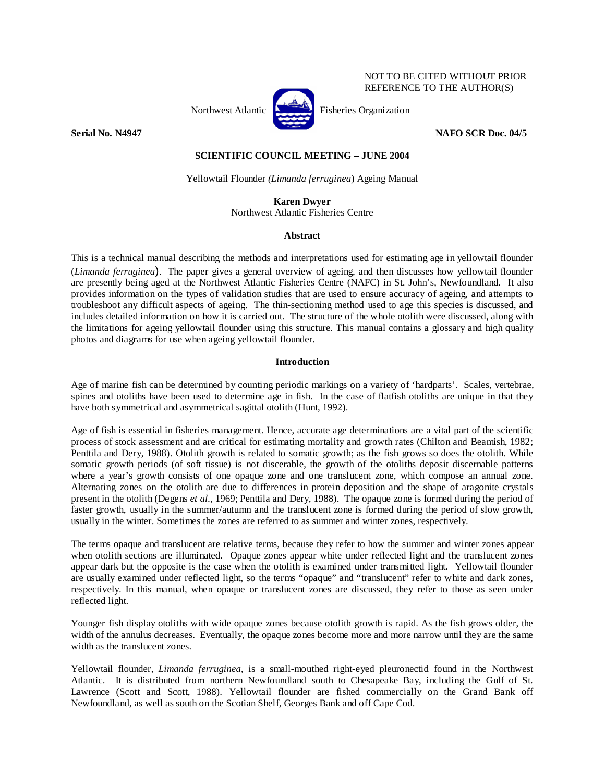

NOT TO BE CITED WITHOUT PRIOR REFERENCE TO THE AUTHOR(S)

**Serial No. N4947** NAFO SCR Doc. 04/5

# **SCIENTIFIC COUNCIL MEETING – JUNE 2004**

Yellowtail Flounder *(Limanda ferruginea*) Ageing Manual

**Karen Dwyer** 

Northwest Atlantic Fisheries Centre

# **Abstract**

This is a technical manual describing the methods and interpretations used for estimating age in yellowtail flounder (*Limanda ferruginea*). The paper gives a general overview of ageing, and then discusses how yellowtail flounder are presently being aged at the Northwest Atlantic Fisheries Centre (NAFC) in St. John's, Newfoundland. It also provides information on the types of validation studies that are used to ensure accuracy of ageing, and attempts to troubleshoot any difficult aspects of ageing. The thin-sectioning method used to age this species is discussed, and includes detailed information on how it is carried out. The structure of the whole otolith were discussed, along with the limitations for ageing yellowtail flounder using this structure. This manual contains a glossary and high quality photos and diagrams for use when ageing yellowtail flounder.

# **Introduction**

Age of marine fish can be determined by counting periodic markings on a variety of 'hardparts'. Scales, vertebrae, spines and otoliths have been used to determine age in fish. In the case of flatfish otoliths are unique in that they have both symmetrical and asymmetrical sagittal otolith (Hunt, 1992).

Age of fish is essential in fisheries management. Hence, accurate age determinations are a vital part of the scientific process of stock assessment and are critical for estimating mortality and growth rates (Chilton and Beamish, 1982; Penttila and Dery, 1988). Otolith growth is related to somatic growth; as the fish grows so does the otolith. While somatic growth periods (of soft tissue) is not discerable, the growth of the otoliths deposit discernable patterns where a year's growth consists of one opaque zone and one translucent zone, which compose an annual zone. Alternating zones on the otolith are due to differences in protein deposition and the shape of aragonite crystals present in the otolith (Degens *et al.*, 1969; Penttila and Dery, 1988). The opaque zone is formed during the period of faster growth, usually in the summer/autumn and the translucent zone is formed during the period of slow growth, usually in the winter. Sometimes the zones are referred to as summer and winter zones, respectively.

The terms opaque and translucent are relative terms, because they refer to how the summer and winter zones appear when otolith sections are illuminated. Opaque zones appear white under reflected light and the translucent zones appear dark but the opposite is the case when the otolith is examined under transmitted light. Yellowtail flounder are usually examined under reflected light, so the terms "opaque" and "translucent" refer to white and dark zones, respectively. In this manual, when opaque or translucent zones are discussed, they refer to those as seen under reflected light.

Younger fish display otoliths with wide opaque zones because otolith growth is rapid. As the fish grows older, the width of the annulus decreases. Eventually, the opaque zones become more and more narrow until they are the same width as the translucent zones.

Yellowtail flounder, *Limanda ferruginea*, is a small-mouthed right-eyed pleuronectid found in the Northwest Atlantic. It is distributed from northern Newfoundland south to Chesapeake Bay, including the Gulf of St. Lawrence (Scott and Scott, 1988). Yellowtail flounder are fished commercially on the Grand Bank off Newfoundland, as well as south on the Scotian Shelf, Georges Bank and off Cape Cod.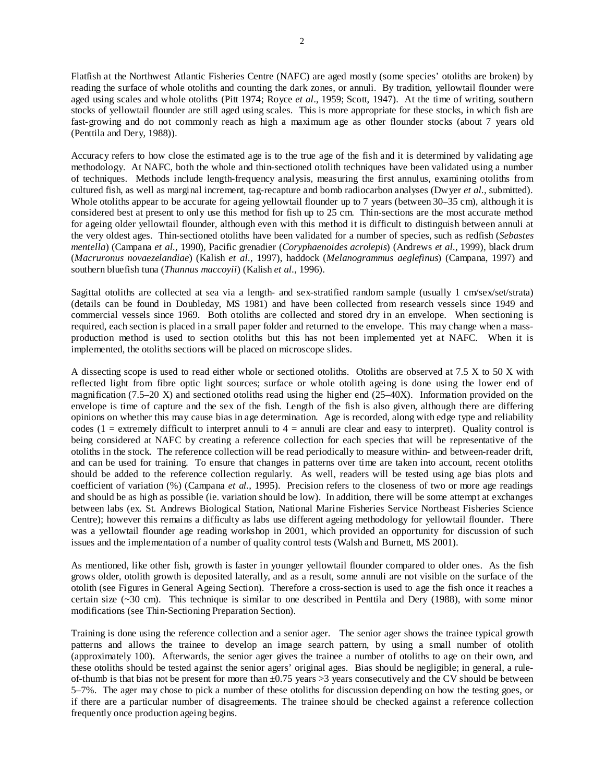Flatfish at the Northwest Atlantic Fisheries Centre (NAFC) are aged mostly (some species' otoliths are broken) by reading the surface of whole otoliths and counting the dark zones, or annuli. By tradition, yellowtail flounder were aged using scales and whole otoliths (Pitt 1974; Royce *et al*., 1959; Scott, 1947). At the time of writing, southern stocks of yellowtail flounder are still aged using scales. This is more appropriate for these stocks, in which fish are fast-growing and do not commonly reach as high a maximum age as other flounder stocks (about 7 years old (Penttila and Dery, 1988)).

Accuracy refers to how close the estimated age is to the true age of the fish and it is determined by validating age methodology. At NAFC, both the whole and thin-sectioned otolith techniques have been validated using a number of techniques. Methods include length-frequency analysis, measuring the first annulus, examining otoliths from cultured fish, as well as marginal increment, tag-recapture and bomb radiocarbon analyses (Dwyer *et al.*, submitted). Whole otoliths appear to be accurate for ageing yellowtail flounder up to 7 years (between 30–35 cm), although it is considered best at present to only use this method for fish up to 25 cm. Thin-sections are the most accurate method for ageing older yellowtail flounder, although even with this method it is difficult to distinguish between annuli at the very oldest ages. Thin-sectioned otoliths have been validated for a number of species, such as redfish (*Sebastes mentella*) (Campana *et al.*, 1990), Pacific grenadier (*Coryphaenoides acrolepis*) (Andrews *et al.*, 1999), black drum (*Macruronus novaezelandiae*) (Kalish *et al.*, 1997), haddock (*Melanogrammus aeglefinus*) (Campana, 1997) and southern bluefish tuna (*Thunnus maccoyii*) (Kalish *et al.*, 1996).

Sagittal otoliths are collected at sea via a length- and sex-stratified random sample (usually 1 cm/sex/set/strata) (details can be found in Doubleday, MS 1981) and have been collected from research vessels since 1949 and commercial vessels since 1969. Both otoliths are collected and stored dry in an envelope. When sectioning is required, each section is placed in a small paper folder and returned to the envelope. This may change when a massproduction method is used to section otoliths but this has not been implemented yet at NAFC. When it is implemented, the otoliths sections will be placed on microscope slides.

A dissecting scope is used to read either whole or sectioned otoliths. Otoliths are observed at 7.5 X to 50 X with reflected light from fibre optic light sources; surface or whole otolith ageing is done using the lower end of magnification (7.5–20 X) and sectioned otoliths read using the higher end (25–40X). Information provided on the envelope is time of capture and the sex of the fish. Length of the fish is also given, although there are differing opinions on whether this may cause bias in age determination. Age is recorded, along with edge type and reliability codes (1 = extremely difficult to interpret annuli to  $4 =$  annuli are clear and easy to interpret). Quality control is being considered at NAFC by creating a reference collection for each species that will be representative of the otoliths in the stock. The reference collection will be read periodically to measure within- and between-reader drift, and can be used for training. To ensure that changes in patterns over time are taken into account, recent otoliths should be added to the reference collection regularly. As well, readers will be tested using age bias plots and coefficient of variation (%) (Campana *et al.*, 1995). Precision refers to the closeness of two or more age readings and should be as high as possible (ie. variation should be low). In addition, there will be some attempt at exchanges between labs (ex. St. Andrews Biological Station, National Marine Fisheries Service Northeast Fisheries Science Centre); however this remains a difficulty as labs use different ageing methodology for yellowtail flounder. There was a yellowtail flounder age reading workshop in 2001, which provided an opportunity for discussion of such issues and the implementation of a number of quality control tests (Walsh and Burnett, MS 2001).

As mentioned, like other fish, growth is faster in younger yellowtail flounder compared to older ones. As the fish grows older, otolith growth is deposited laterally, and as a result, some annuli are not visible on the surface of the otolith (see Figures in General Ageing Section). Therefore a cross-section is used to age the fish once it reaches a certain size  $(-30 \text{ cm})$ . This technique is similar to one described in Penttila and Dery (1988), with some minor modifications (see Thin-Sectioning Preparation Section).

Training is done using the reference collection and a senior ager. The senior ager shows the trainee typical growth patterns and allows the trainee to develop an image search pattern, by using a small number of otolith (approximately 100). Afterwards, the senior ager gives the trainee a number of otoliths to age on their own, and these otoliths should be tested against the senior agers' original ages. Bias should be negligible; in general, a ruleof-thumb is that bias not be present for more than  $\pm 0.75$  years  $>3$  years consecutively and the CV should be between 5–7%. The ager may chose to pick a number of these otoliths for discussion depending on how the testing goes, or if there are a particular number of disagreements. The trainee should be checked against a reference collection frequently once production ageing begins.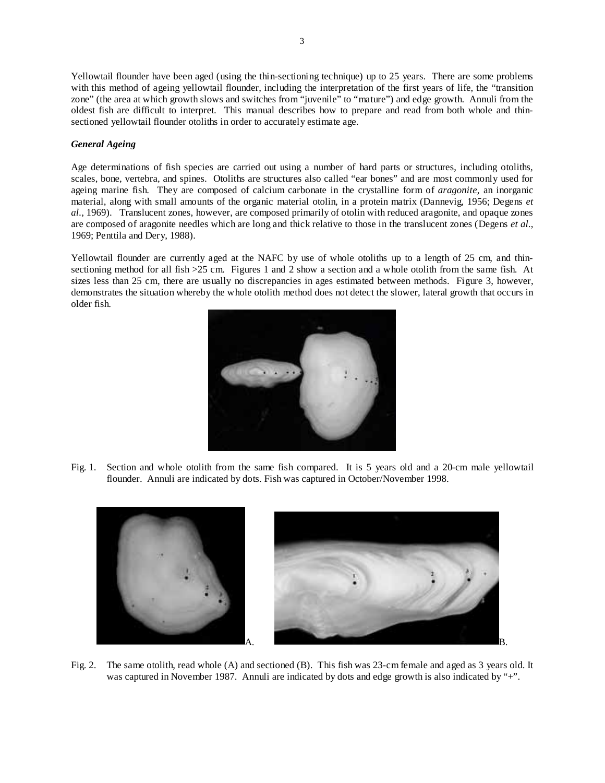Yellowtail flounder have been aged (using the thin-sectioning technique) up to 25 years. There are some problems with this method of ageing yellowtail flounder, including the interpretation of the first years of life, the "transition zone" (the area at which growth slows and switches from "juvenile" to "mature") and edge growth. Annuli from the oldest fish are difficult to interpret. This manual describes how to prepare and read from both whole and thinsectioned yellowtail flounder otoliths in order to accurately estimate age.

# *General Ageing*

Age determinations of fish species are carried out using a number of hard parts or structures, including otoliths, scales, bone, vertebra, and spines. Otoliths are structures also called "ear bones" and are most commonly used for ageing marine fish. They are composed of calcium carbonate in the crystalline form of *aragonite*, an inorganic material, along with small amounts of the organic material otolin, in a protein matrix (Dannevig, 1956; Degens *et al.*, 1969). Translucent zones, however, are composed primarily of otolin with reduced aragonite, and opaque zones are composed of aragonite needles which are long and thick relative to those in the translucent zones (Degens *et al.*, 1969; Penttila and Dery, 1988).

Yellowtail flounder are currently aged at the NAFC by use of whole otoliths up to a length of 25 cm, and thinsectioning method for all fish >25 cm. Figures 1 and 2 show a section and a whole otolith from the same fish. At sizes less than 25 cm, there are usually no discrepancies in ages estimated between methods. Figure 3, however, demonstrates the situation whereby the whole otolith method does not detect the slower, lateral growth that occurs in older fish.



Fig. 1. Section and whole otolith from the same fish compared. It is 5 years old and a 20-cm male yellowtail flounder. Annuli are indicated by dots. Fish was captured in October/November 1998.



Fig. 2. The same otolith, read whole (A) and sectioned (B). This fish was 23-cm female and aged as 3 years old. It was captured in November 1987. Annuli are indicated by dots and edge growth is also indicated by "+".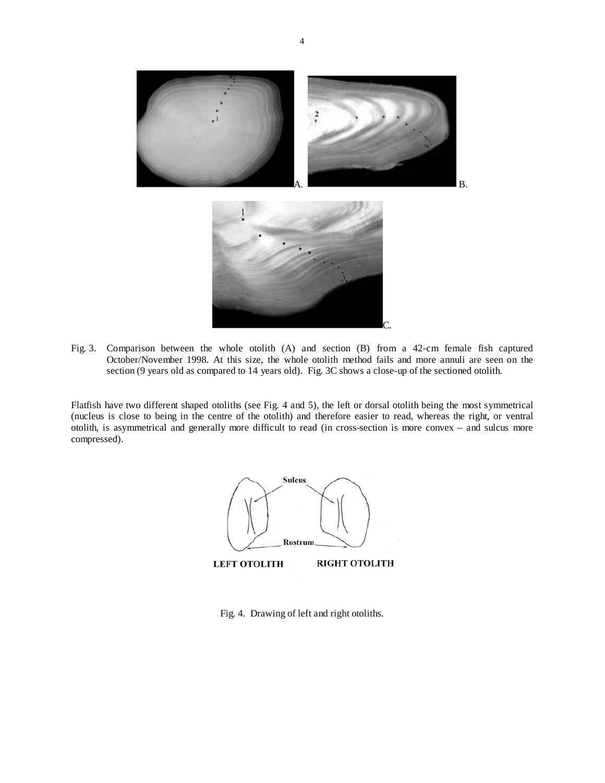

Fig. 3. Comparison between the whole otolith (A) and section (B) from a 42-cm female fish captured October/November 1998. At this size, the whole otolith method fails and more annuli are seen on the section (9 years old as compared to 14 years old). Fig. 3C shows a close-up of the sectioned otolith.

Flatfish have two different shaped otoliths (see Fig. 4 and 5), the left or dorsal otolith being the most symmetrical (nucleus is close to being in the centre of the otolith) and therefore easier to read, whereas the right, or ventral otolith, is asymmetrical and generally more difficult to read (in cross-section is more convex – and sulcus more compressed).



Fig. 4. Drawing of left and right otoliths.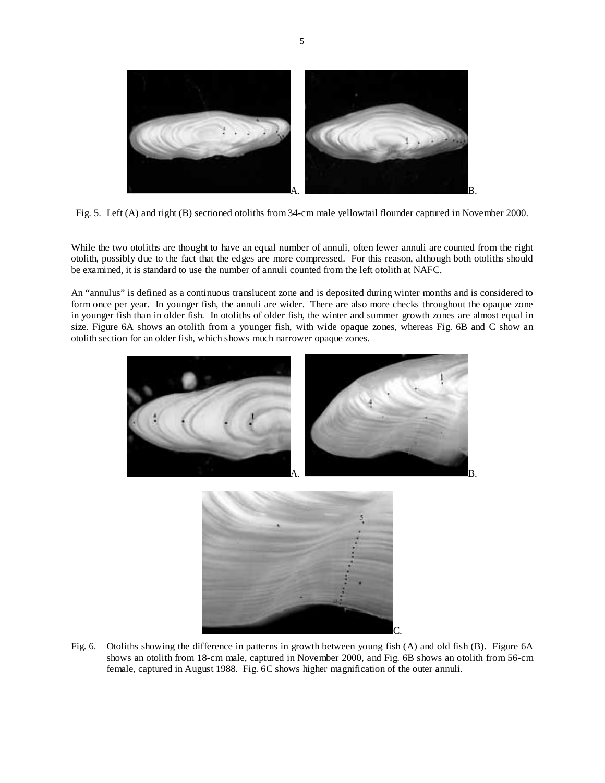

Fig. 5. Left (A) and right (B) sectioned otoliths from 34-cm male yellowtail flounder captured in November 2000.

While the two otoliths are thought to have an equal number of annuli, often fewer annuli are counted from the right otolith, possibly due to the fact that the edges are more compressed. For this reason, although both otoliths should be examined, it is standard to use the number of annuli counted from the left otolith at NAFC.

An "annulus" is defined as a continuous translucent zone and is deposited during winter months and is considered to form once per year. In younger fish, the annuli are wider. There are also more checks throughout the opaque zone in younger fish than in older fish. In otoliths of older fish, the winter and summer growth zones are almost equal in size. Figure 6A shows an otolith from a younger fish, with wide opaque zones, whereas Fig. 6B and C show an otolith section for an older fish, which shows much narrower opaque zones.



Fig. 6. Otoliths showing the difference in patterns in growth between young fish (A) and old fish (B). Figure 6A shows an otolith from 18-cm male, captured in November 2000, and Fig. 6B shows an otolith from 56-cm female, captured in August 1988. Fig. 6C shows higher magnification of the outer annuli.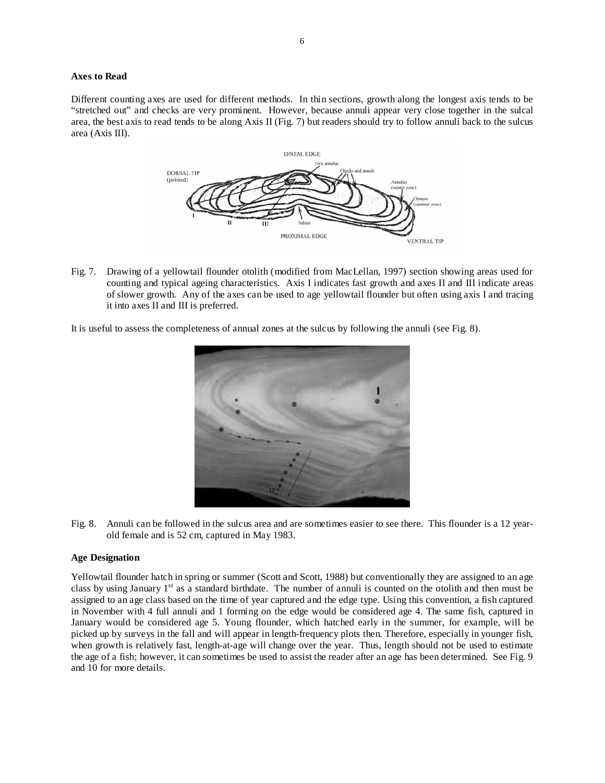# **Axes to Read**

Different counting axes are used for different methods. In thin sections, growth along the longest axis tends to be "stretched out" and checks are very prominent. However, because annuli appear very close together in the sulcal area, the best axis to read tends to be along Axis II (Fig. 7) but readers should try to follow annuli back to the sulcus area (Axis III).



Fig. 7. Drawing of a yellowtail flounder otolith (modified from MacLellan, 1997) section showing areas used for counting and typical ageing characteristics. Axis I indicates fast growth and axes II and III indicate areas of slower growth. Any of the axes can be used to age yellowtail flounder but often using axis I and tracing it into axes II and III is preferred.

It is useful to assess the completeness of annual zones at the sulcus by following the annuli (see Fig. 8).



Fig. 8. Annuli can be followed in the sulcus area and are sometimes easier to see there. This flounder is a 12 yearold female and is 52 cm, captured in May 1983.

#### **Age Designation**

Yellowtail flounder hatch in spring or summer (Scott and Scott, 1988) but conventionally they are assigned to an age class by using January  $1<sup>st</sup>$  as a standard birthdate. The number of annuli is counted on the otolith and then must be assigned to an age class based on the time of year captured and the edge type. Using this convention, a fish captured in November with 4 full annuli and 1 forming on the edge would be considered age 4. The same fish, captured in January would be considered age 5. Young flounder, which hatched early in the summer, for example, will be picked up by surveys in the fall and will appear in length-frequency plots then. Therefore, especially in younger fish, when growth is relatively fast, length-at-age will change over the year. Thus, length should not be used to estimate the age of a fish; however, it can sometimes be used to assist the reader after an age has been determined. See Fig. 9 and 10 for more details.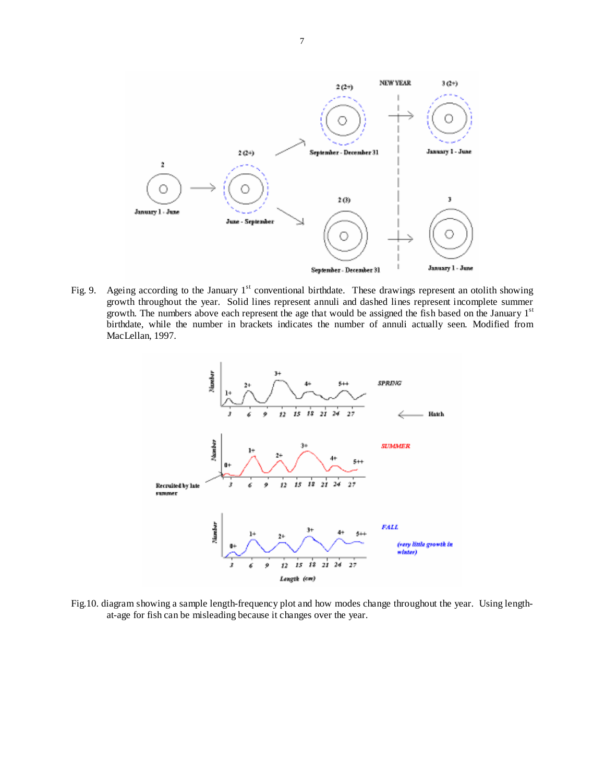

Fig. 9. Ageing according to the January  $1<sup>st</sup>$  conventional birthdate. These drawings represent an otolith showing growth throughout the year. Solid lines represent annuli and dashed lines represent incomplete summer growth. The numbers above each represent the age that would be assigned the fish based on the January  $1<sup>st</sup>$ birthdate, while the number in brackets indicates the number of annuli actually seen. Modified from MacLellan, 1997.



Fig.10. diagram showing a sample length-frequency plot and how modes change throughout the year. Using lengthat-age for fish can be misleading because it changes over the year.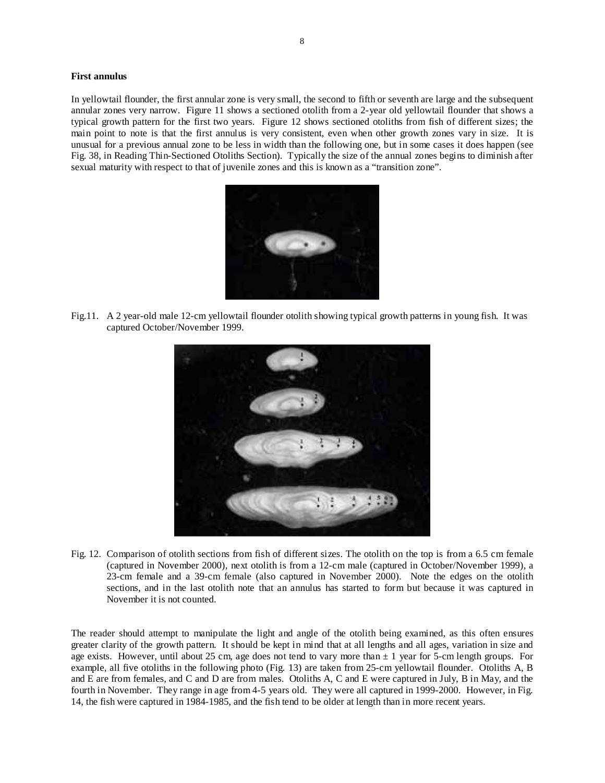# **First annulus**

In yellowtail flounder, the first annular zone is very small, the second to fifth or seventh are large and the subsequent annular zones very narrow. Figure 11 shows a sectioned otolith from a 2-year old yellowtail flounder that shows a typical growth pattern for the first two years. Figure 12 shows sectioned otoliths from fish of different sizes; the main point to note is that the first annulus is very consistent, even when other growth zones vary in size. It is unusual for a previous annual zone to be less in width than the following one, but in some cases it does happen (see Fig. 38, in Reading Thin-Sectioned Otoliths Section). Typically the size of the annual zones begins to diminish after sexual maturity with respect to that of juvenile zones and this is known as a "transition zone".



Fig.11. A 2 year-old male 12-cm yellowtail flounder otolith showing typical growth patterns in young fish. It was captured October/November 1999.



Fig. 12. Comparison of otolith sections from fish of different sizes. The otolith on the top is from a 6.5 cm female (captured in November 2000), next otolith is from a 12-cm male (captured in October/November 1999), a 23-cm female and a 39-cm female (also captured in November 2000). Note the edges on the otolith sections, and in the last otolith note that an annulus has started to form but because it was captured in November it is not counted.

The reader should attempt to manipulate the light and angle of the otolith being examined, as this often ensures greater clarity of the growth pattern. It should be kept in mind that at all lengths and all ages, variation in size and age exists. However, until about 25 cm, age does not tend to vary more than  $\pm$  1 year for 5-cm length groups. For example, all five otoliths in the following photo (Fig. 13) are taken from 25-cm yellowtail flounder. Otoliths A, B and E are from females, and C and D are from males. Otoliths A, C and E were captured in July, B in May, and the fourth in November. They range in age from 4-5 years old. They were all captured in 1999-2000. However, in Fig. 14, the fish were captured in 1984-1985, and the fish tend to be older at length than in more recent years.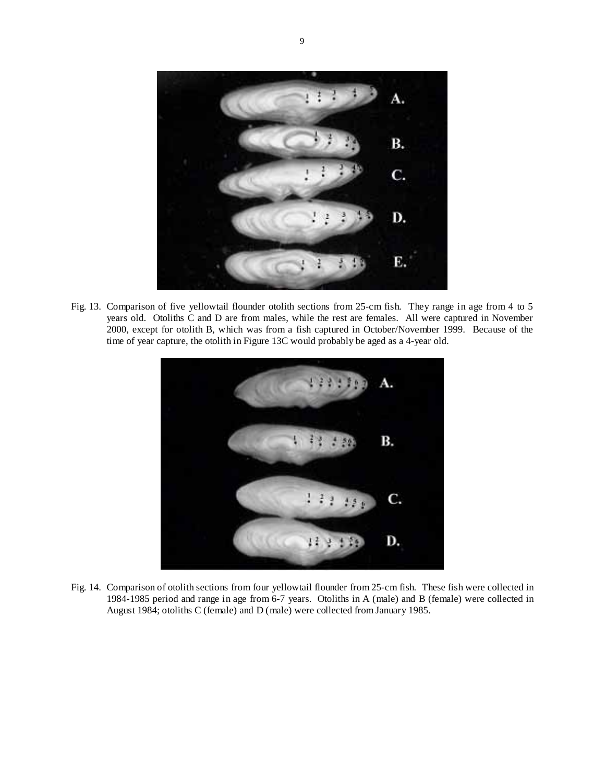

Fig. 13. Comparison of five yellowtail flounder otolith sections from 25-cm fish. They range in age from 4 to 5 years old. Otoliths C and D are from males, while the rest are females. All were captured in November 2000, except for otolith B, which was from a fish captured in October/November 1999. Because of the time of year capture, the otolith in Figure 13C would probably be aged as a 4-year old.



Fig. 14. Comparison of otolith sections from four yellowtail flounder from 25-cm fish. These fish were collected in 1984-1985 period and range in age from 6-7 years. Otoliths in A (male) and B (female) were collected in August 1984; otoliths C (female) and D (male) were collected from January 1985.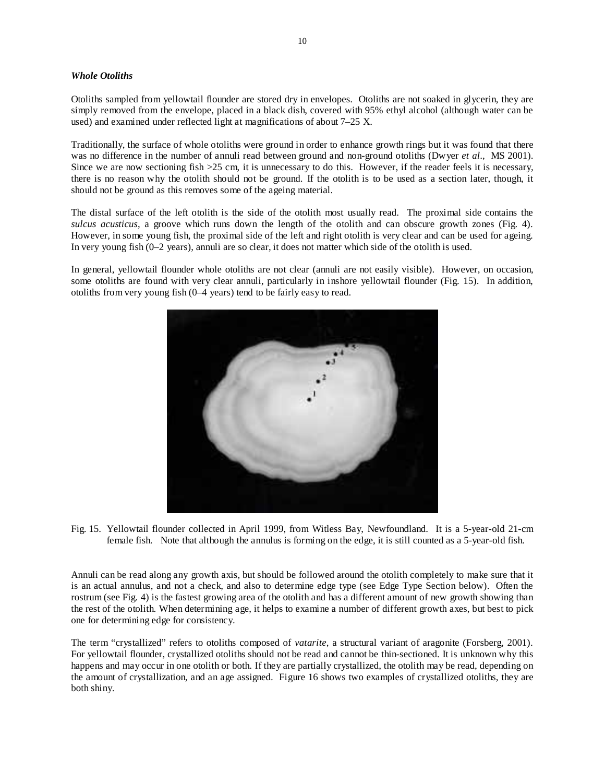# *Whole Otoliths*

Otoliths sampled from yellowtail flounder are stored dry in envelopes. Otoliths are not soaked in glycerin, they are simply removed from the envelope, placed in a black dish, covered with 95% ethyl alcohol (although water can be used) and examined under reflected light at magnifications of about 7–25 X.

Traditionally, the surface of whole otoliths were ground in order to enhance growth rings but it was found that there was no difference in the number of annuli read between ground and non-ground otoliths (Dwyer *et al.*, MS 2001). Since we are now sectioning fish >25 cm, it is unnecessary to do this. However, if the reader feels it is necessary, there is no reason why the otolith should not be ground. If the otolith is to be used as a section later, though, it should not be ground as this removes some of the ageing material.

The distal surface of the left otolith is the side of the otolith most usually read. The proximal side contains the *sulcus acusticus*, a groove which runs down the length of the otolith and can obscure growth zones (Fig. 4). However, in some young fish, the proximal side of the left and right otolith is very clear and can be used for ageing. In very young fish (0–2 years), annuli are so clear, it does not matter which side of the otolith is used.

In general, yellowtail flounder whole otoliths are not clear (annuli are not easily visible). However, on occasion, some otoliths are found with very clear annuli, particularly in inshore yellowtail flounder (Fig. 15). In addition, otoliths from very young fish (0–4 years) tend to be fairly easy to read.



Fig. 15. Yellowtail flounder collected in April 1999, from Witless Bay, Newfoundland. It is a 5-year-old 21-cm female fish. Note that although the annulus is forming on the edge, it is still counted as a 5-year-old fish.

Annuli can be read along any growth axis, but should be followed around the otolith completely to make sure that it is an actual annulus, and not a check, and also to determine edge type (see Edge Type Section below). Often the rostrum (see Fig. 4) is the fastest growing area of the otolith and has a different amount of new growth showing than the rest of the otolith. When determining age, it helps to examine a number of different growth axes, but best to pick one for determining edge for consistency.

The term "crystallized" refers to otoliths composed of *vatarite*, a structural variant of aragonite (Forsberg, 2001). For yellowtail flounder, crystallized otoliths should not be read and cannot be thin-sectioned. It is unknown why this happens and may occur in one otolith or both. If they are partially crystallized, the otolith may be read, depending on the amount of crystallization, and an age assigned. Figure 16 shows two examples of crystallized otoliths, they are both shiny.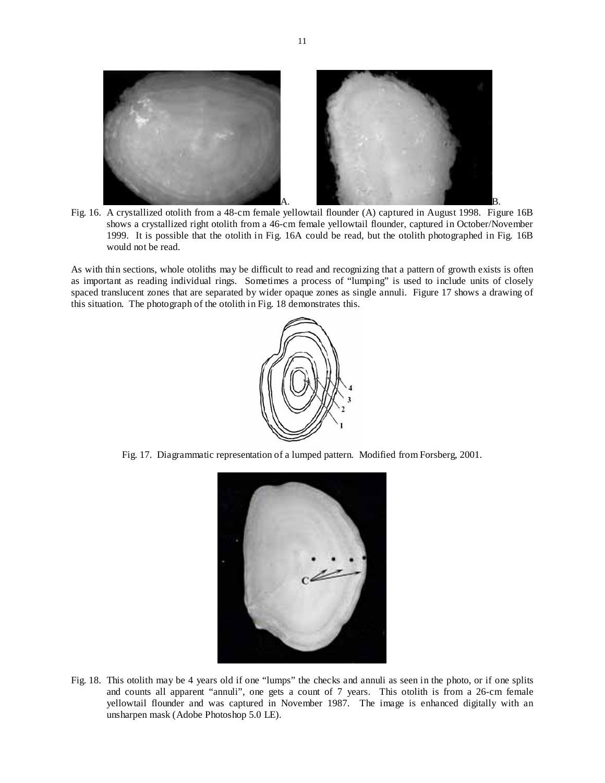

Fig. 16. A crystallized otolith from a 48-cm female yellowtail flounder (A) captured in August 1998. Figure 16B shows a crystallized right otolith from a 46-cm female yellowtail flounder, captured in October/November 1999. It is possible that the otolith in Fig. 16A could be read, but the otolith photographed in Fig. 16B would not be read.

As with thin sections, whole otoliths may be difficult to read and recognizing that a pattern of growth exists is often as important as reading individual rings. Sometimes a process of "lumping" is used to include units of closely spaced translucent zones that are separated by wider opaque zones as single annuli. Figure 17 shows a drawing of this situation. The photograph of the otolith in Fig. 18 demonstrates this.



Fig. 17. Diagrammatic representation of a lumped pattern. Modified from Forsberg, 2001.



Fig. 18. This otolith may be 4 years old if one "lumps" the checks and annuli as seen in the photo, or if one splits and counts all apparent "annuli", one gets a count of 7 years. This otolith is from a 26-cm female yellowtail flounder and was captured in November 1987. The image is enhanced digitally with an unsharpen mask (Adobe Photoshop 5.0 LE).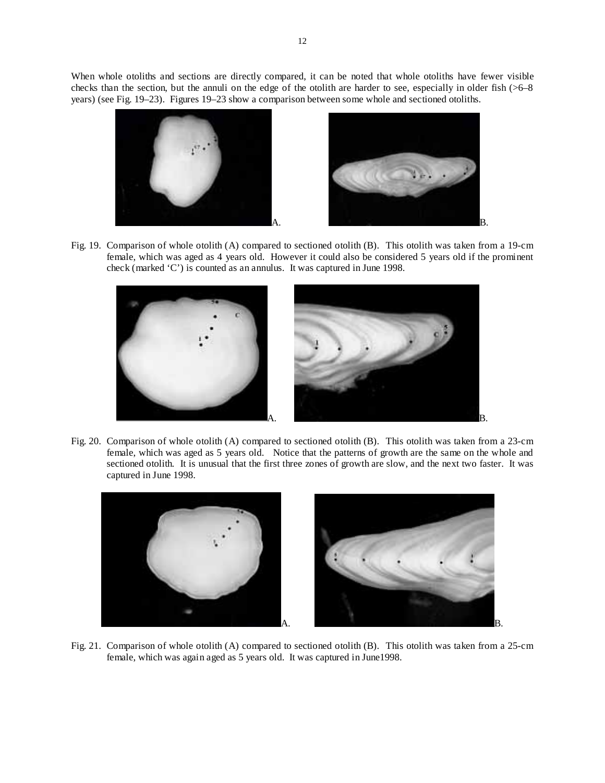When whole otoliths and sections are directly compared, it can be noted that whole otoliths have fewer visible checks than the section, but the annuli on the edge of the otolith are harder to see, especially in older fish (>6–8 years) (see Fig. 19–23). Figures 19–23 show a comparison between some whole and sectioned otoliths.



Fig. 19. Comparison of whole otolith (A) compared to sectioned otolith (B). This otolith was taken from a 19-cm female, which was aged as 4 years old. However it could also be considered 5 years old if the prominent check (marked 'C') is counted as an annulus. It was captured in June 1998.



Fig. 20. Comparison of whole otolith (A) compared to sectioned otolith (B). This otolith was taken from a 23-cm female, which was aged as 5 years old. Notice that the patterns of growth are the same on the whole and sectioned otolith. It is unusual that the first three zones of growth are slow, and the next two faster. It was captured in June 1998.



Fig. 21. Comparison of whole otolith (A) compared to sectioned otolith (B). This otolith was taken from a 25-cm female, which was again aged as 5 years old. It was captured in June1998.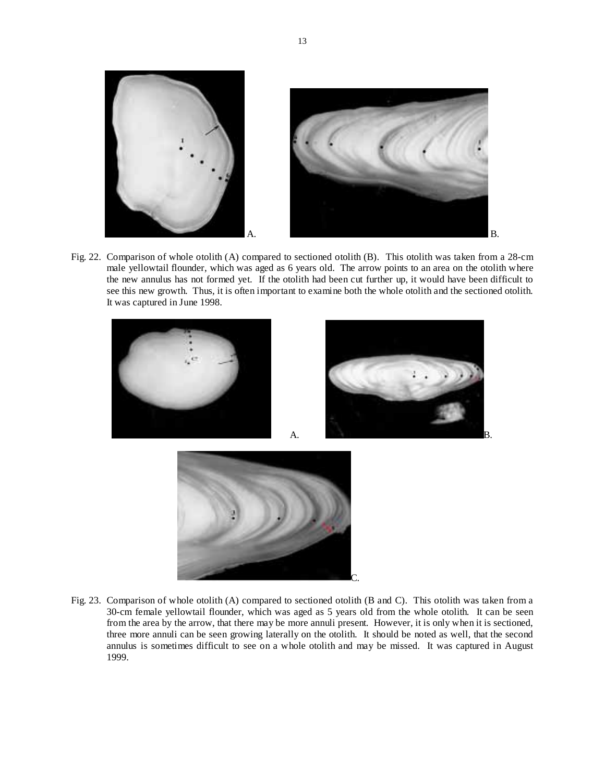

Fig. 22. Comparison of whole otolith (A) compared to sectioned otolith (B). This otolith was taken from a 28-cm male yellowtail flounder, which was aged as 6 years old. The arrow points to an area on the otolith where the new annulus has not formed yet. If the otolith had been cut further up, it would have been difficult to see this new growth. Thus, it is often important to examine both the whole otolith and the sectioned otolith. It was captured in June 1998.







Fig. 23. Comparison of whole otolith (A) compared to sectioned otolith (B and C). This otolith was taken from a 30-cm female yellowtail flounder, which was aged as 5 years old from the whole otolith. It can be seen from the area by the arrow, that there may be more annuli present. However, it is only when it is sectioned, three more annuli can be seen growing laterally on the otolith. It should be noted as well, that the second annulus is sometimes difficult to see on a whole otolith and may be missed. It was captured in August 1999.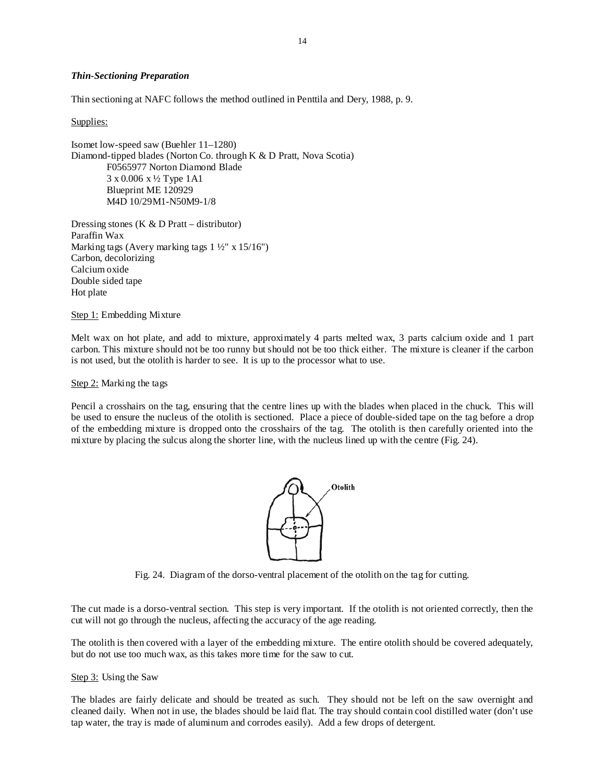# *Thin-Sectioning Preparation*

Thin sectioning at NAFC follows the method outlined in Penttila and Dery, 1988, p. 9.

Supplies:

Isomet low-speed saw (Buehler 11–1280) Diamond-tipped blades (Norton Co. through K & D Pratt, Nova Scotia) F0565977 Norton Diamond Blade 3 x 0.006 x ½ Type 1A1 Blueprint ME 120929 M4D 10/29M1-N50M9-1/8

Dressing stones (K  $&$  D Pratt – distributor) Paraffin Wax Marking tags (Avery marking tags  $1\frac{1}{2}$ " x  $15/16$ ") Carbon, decolorizing Calcium oxide Double sided tape Hot plate

Step 1: Embedding Mixture

Melt wax on hot plate, and add to mixture, approximately 4 parts melted wax, 3 parts calcium oxide and 1 part carbon. This mixture should not be too runny but should not be too thick either. The mixture is cleaner if the carbon is not used, but the otolith is harder to see. It is up to the processor what to use.

Step 2: Marking the tags

Pencil a crosshairs on the tag, ensuring that the centre lines up with the blades when placed in the chuck. This will be used to ensure the nucleus of the otolith is sectioned. Place a piece of double-sided tape on the tag before a drop of the embedding mixture is dropped onto the crosshairs of the tag. The otolith is then carefully oriented into the mixture by placing the sulcus along the shorter line, with the nucleus lined up with the centre (Fig. 24).



Fig. 24. Diagram of the dorso-ventral placement of the otolith on the tag for cutting.

The cut made is a dorso-ventral section. This step is very important. If the otolith is not oriented correctly, then the cut will not go through the nucleus, affecting the accuracy of the age reading.

The otolith is then covered with a layer of the embedding mixture. The entire otolith should be covered adequately, but do not use too much wax, as this takes more time for the saw to cut.

# Step 3: Using the Saw

The blades are fairly delicate and should be treated as such. They should not be left on the saw overnight and cleaned daily. When not in use, the blades should be laid flat. The tray should contain cool distilled water (don't use tap water, the tray is made of aluminum and corrodes easily). Add a few drops of detergent.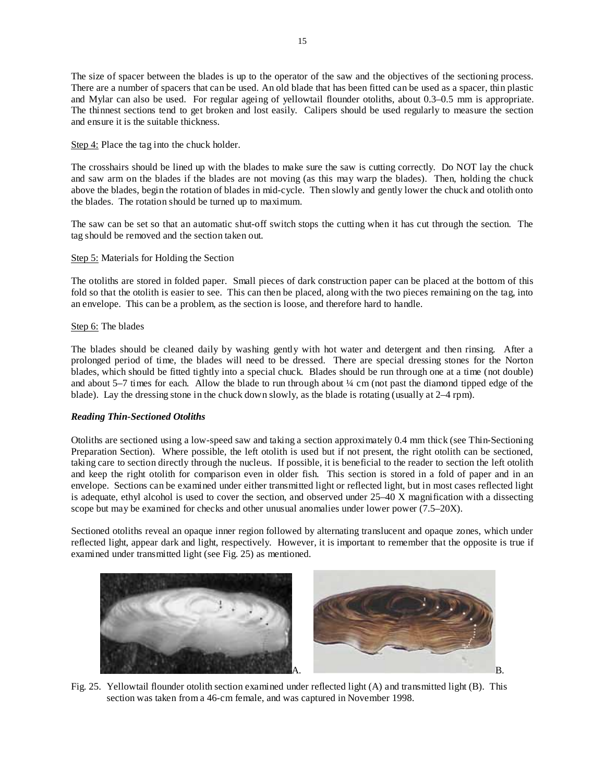The size of spacer between the blades is up to the operator of the saw and the objectives of the sectioning process. There are a number of spacers that can be used. An old blade that has been fitted can be used as a spacer, thin plastic and Mylar can also be used. For regular ageing of yellowtail flounder otoliths, about 0.3–0.5 mm is appropriate. The thinnest sections tend to get broken and lost easily. Calipers should be used regularly to measure the section and ensure it is the suitable thickness.

Step 4: Place the tag into the chuck holder.

The crosshairs should be lined up with the blades to make sure the saw is cutting correctly. Do NOT lay the chuck and saw arm on the blades if the blades are not moving (as this may warp the blades). Then, holding the chuck above the blades, begin the rotation of blades in mid-cycle. Then slowly and gently lower the chuck and otolith onto the blades. The rotation should be turned up to maximum.

The saw can be set so that an automatic shut-off switch stops the cutting when it has cut through the section. The tag should be removed and the section taken out.

# Step 5: Materials for Holding the Section

The otoliths are stored in folded paper. Small pieces of dark construction paper can be placed at the bottom of this fold so that the otolith is easier to see. This can then be placed, along with the two pieces remaining on the tag, into an envelope. This can be a problem, as the section is loose, and therefore hard to handle.

Step 6: The blades

The blades should be cleaned daily by washing gently with hot water and detergent and then rinsing. After a prolonged period of time, the blades will need to be dressed. There are special dressing stones for the Norton blades, which should be fitted tightly into a special chuck. Blades should be run through one at a time (not double) and about  $5-7$  times for each. Allow the blade to run through about  $\frac{1}{4}$  cm (not past the diamond tipped edge of the blade). Lay the dressing stone in the chuck down slowly, as the blade is rotating (usually at 2–4 rpm).

# *Reading Thin-Sectioned Otoliths*

Otoliths are sectioned using a low-speed saw and taking a section approximately 0.4 mm thick (see Thin-Sectioning Preparation Section). Where possible, the left otolith is used but if not present, the right otolith can be sectioned, taking care to section directly through the nucleus. If possible, it is beneficial to the reader to section the left otolith and keep the right otolith for comparison even in older fish. This section is stored in a fold of paper and in an envelope. Sections can be examined under either transmitted light or reflected light, but in most cases reflected light is adequate, ethyl alcohol is used to cover the section, and observed under 25–40 X magnification with a dissecting scope but may be examined for checks and other unusual anomalies under lower power (7.5–20X).

Sectioned otoliths reveal an opaque inner region followed by alternating translucent and opaque zones, which under reflected light, appear dark and light, respectively. However, it is important to remember that the opposite is true if examined under transmitted light (see Fig. 25) as mentioned.



Fig. 25. Yellowtail flounder otolith section examined under reflected light (A) and transmitted light (B). This section was taken from a 46-cm female, and was captured in November 1998.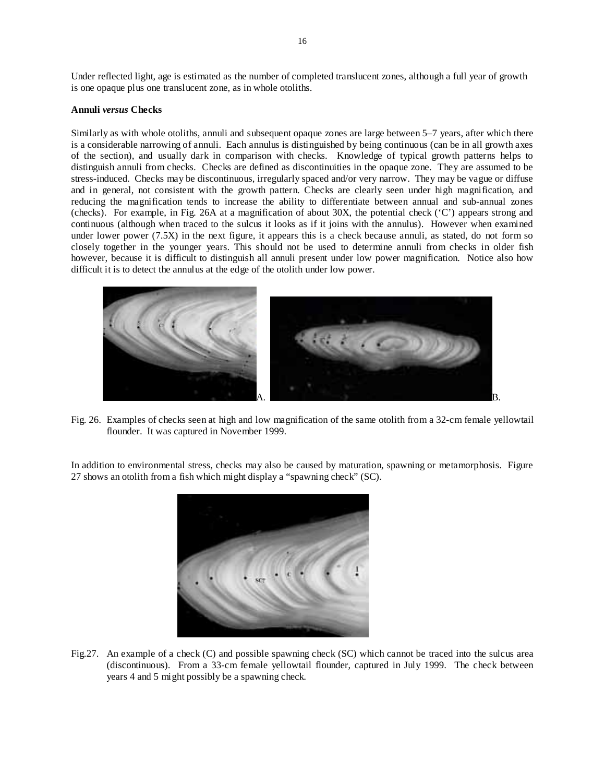Under reflected light, age is estimated as the number of completed translucent zones, although a full year of growth is one opaque plus one translucent zone, as in whole otoliths.

### **Annuli** *versus* **Checks**

Similarly as with whole otoliths, annuli and subsequent opaque zones are large between 5–7 years, after which there is a considerable narrowing of annuli. Each annulus is distinguished by being continuous (can be in all growth axes of the section), and usually dark in comparison with checks. Knowledge of typical growth patterns helps to distinguish annuli from checks. Checks are defined as discontinuities in the opaque zone. They are assumed to be stress-induced. Checks may be discontinuous, irregularly spaced and/or very narrow. They may be vague or diffuse and in general, not consistent with the growth pattern. Checks are clearly seen under high magnification, and reducing the magnification tends to increase the ability to differentiate between annual and sub-annual zones (checks). For example, in Fig. 26A at a magnification of about 30X, the potential check ('C') appears strong and continuous (although when traced to the sulcus it looks as if it joins with the annulus). However when examined under lower power (7.5X) in the next figure, it appears this is a check because annuli, as stated, do not form so closely together in the younger years. This should not be used to determine annuli from checks in older fish however, because it is difficult to distinguish all annuli present under low power magnification. Notice also how difficult it is to detect the annulus at the edge of the otolith under low power.



Fig. 26. Examples of checks seen at high and low magnification of the same otolith from a 32-cm female yellowtail flounder. It was captured in November 1999.

In addition to environmental stress, checks may also be caused by maturation, spawning or metamorphosis. Figure 27 shows an otolith from a fish which might display a "spawning check" (SC).



Fig.27. An example of a check (C) and possible spawning check (SC) which cannot be traced into the sulcus area (discontinuous). From a 33-cm female yellowtail flounder, captured in July 1999. The check between years 4 and 5 might possibly be a spawning check.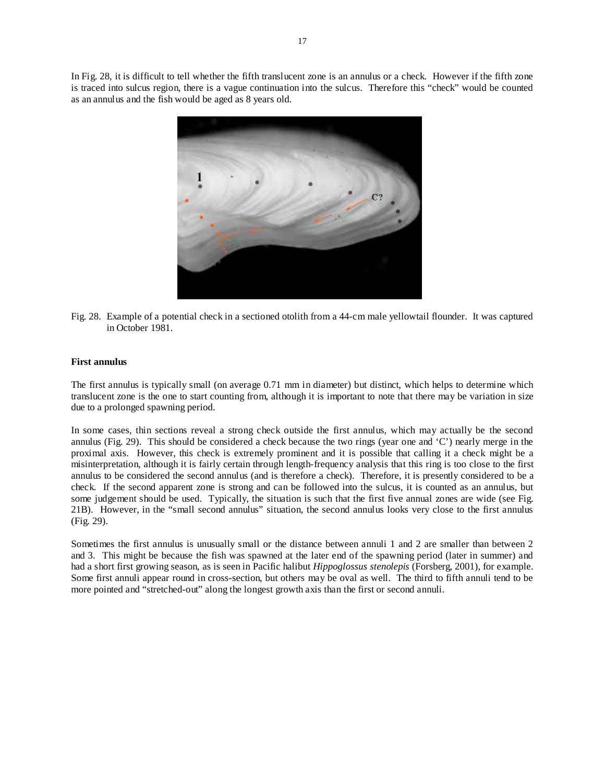In Fig. 28, it is difficult to tell whether the fifth translucent zone is an annulus or a check. However if the fifth zone is traced into sulcus region, there is a vague continuation into the sulcus. Therefore this "check" would be counted as an annulus and the fish would be aged as 8 years old.



Fig. 28. Example of a potential check in a sectioned otolith from a 44-cm male yellowtail flounder. It was captured in October 1981.

### **First annulus**

The first annulus is typically small (on average 0.71 mm in diameter) but distinct, which helps to determine which translucent zone is the one to start counting from, although it is important to note that there may be variation in size due to a prolonged spawning period.

In some cases, thin sections reveal a strong check outside the first annulus, which may actually be the second annulus (Fig. 29). This should be considered a check because the two rings (year one and 'C') nearly merge in the proximal axis. However, this check is extremely prominent and it is possible that calling it a check might be a misinterpretation, although it is fairly certain through length-frequency analysis that this ring is too close to the first annulus to be considered the second annulus (and is therefore a check). Therefore, it is presently considered to be a check. If the second apparent zone is strong and can be followed into the sulcus, it is counted as an annulus, but some judgement should be used. Typically, the situation is such that the first five annual zones are wide (see Fig. 21B). However, in the "small second annulus" situation, the second annulus looks very close to the first annulus (Fig. 29).

Sometimes the first annulus is unusually small or the distance between annuli 1 and 2 are smaller than between 2 and 3. This might be because the fish was spawned at the later end of the spawning period (later in summer) and had a short first growing season, as is seen in Pacific halibut *Hippoglossus stenolepis* (Forsberg, 2001), for example. Some first annuli appear round in cross-section, but others may be oval as well. The third to fifth annuli tend to be more pointed and "stretched-out" along the longest growth axis than the first or second annuli.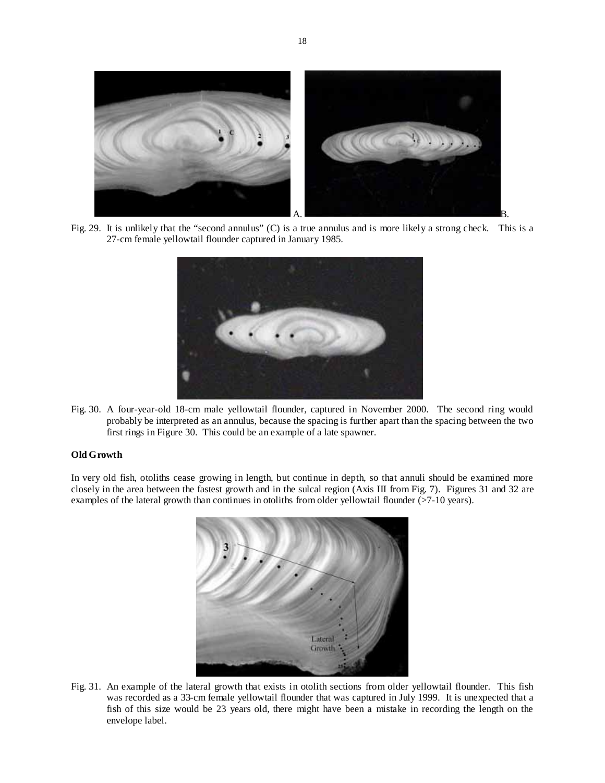

Fig. 29. It is unlikely that the "second annulus" (C) is a true annulus and is more likely a strong check. This is a 27-cm female yellowtail flounder captured in January 1985.



Fig. 30. A four-year-old 18-cm male yellowtail flounder, captured in November 2000. The second ring would probably be interpreted as an annulus, because the spacing is further apart than the spacing between the two first rings in Figure 30. This could be an example of a late spawner.

### **Old Growth**

In very old fish, otoliths cease growing in length, but continue in depth, so that annuli should be examined more closely in the area between the fastest growth and in the sulcal region (Axis III from Fig. 7). Figures 31 and 32 are examples of the lateral growth than continues in otoliths from older yellowtail flounder (>7-10 years).



Fig. 31. An example of the lateral growth that exists in otolith sections from older yellowtail flounder. This fish was recorded as a 33-cm female yellowtail flounder that was captured in July 1999. It is unexpected that a fish of this size would be 23 years old, there might have been a mistake in recording the length on the envelope label.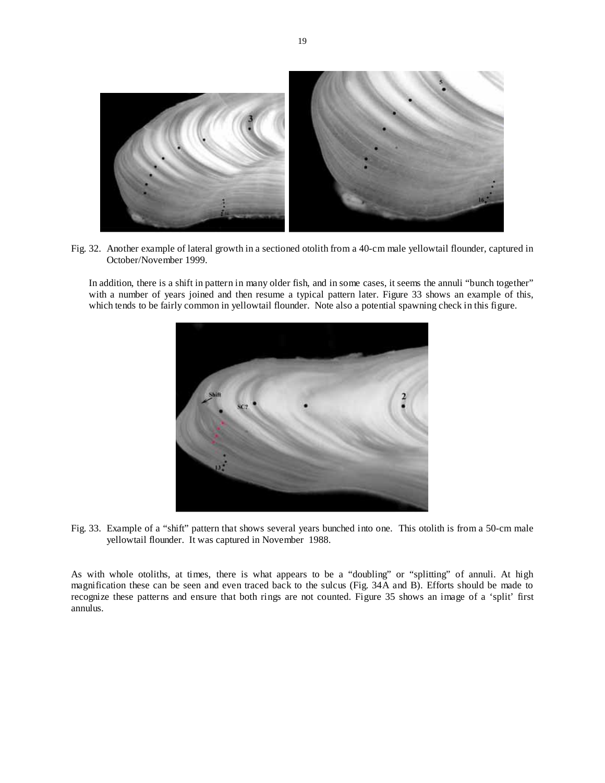

Fig. 32. Another example of lateral growth in a sectioned otolith from a 40-cm male yellowtail flounder, captured in October/November 1999.

In addition, there is a shift in pattern in many older fish, and in some cases, it seems the annuli "bunch together" with a number of years joined and then resume a typical pattern later. Figure 33 shows an example of this, which tends to be fairly common in yellowtail flounder. Note also a potential spawning check in this figure.



Fig. 33. Example of a "shift" pattern that shows several years bunched into one. This otolith is from a 50-cm male yellowtail flounder. It was captured in November 1988.

As with whole otoliths, at times, there is what appears to be a "doubling" or "splitting" of annuli. At high magnification these can be seen and even traced back to the sulcus (Fig. 34A and B). Efforts should be made to recognize these patterns and ensure that both rings are not counted. Figure 35 shows an image of a 'split' first annulus.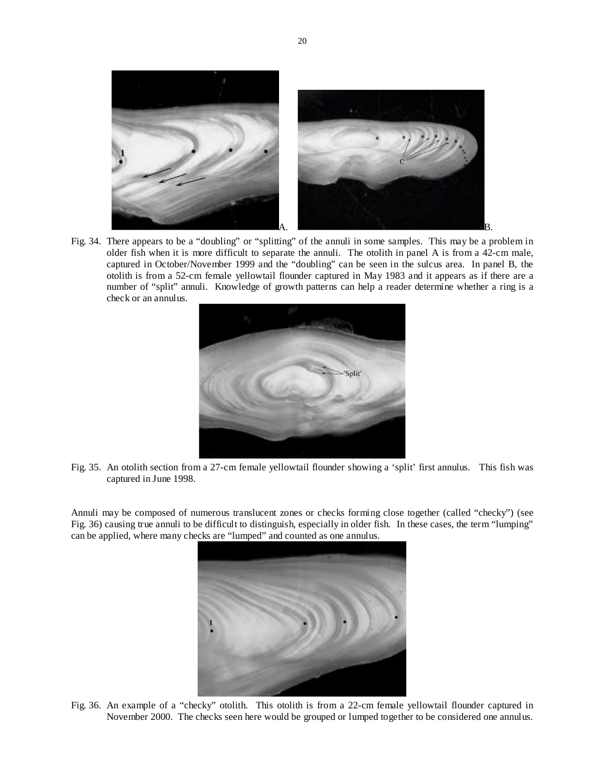

Fig. 34. There appears to be a "doubling" or "splitting" of the annuli in some samples. This may be a problem in older fish when it is more difficult to separate the annuli. The otolith in panel A is from a 42-cm male, captured in October/November 1999 and the "doubling" can be seen in the sulcus area. In panel B, the otolith is from a 52-cm female yellowtail flounder captured in May 1983 and it appears as if there are a number of "split" annuli. Knowledge of growth patterns can help a reader determine whether a ring is a check or an annulus.



Fig. 35. An otolith section from a 27-cm female yellowtail flounder showing a 'split' first annulus. This fish was captured in June 1998.

Annuli may be composed of numerous translucent zones or checks forming close together (called "checky") (see Fig. 36) causing true annuli to be difficult to distinguish, especially in older fish. In these cases, the term "lumping" can be applied, where many checks are "lumped" and counted as one annulus.



Fig. 36. An example of a "checky" otolith. This otolith is from a 22-cm female yellowtail flounder captured in November 2000. The checks seen here would be grouped or lumped together to be considered one annulus.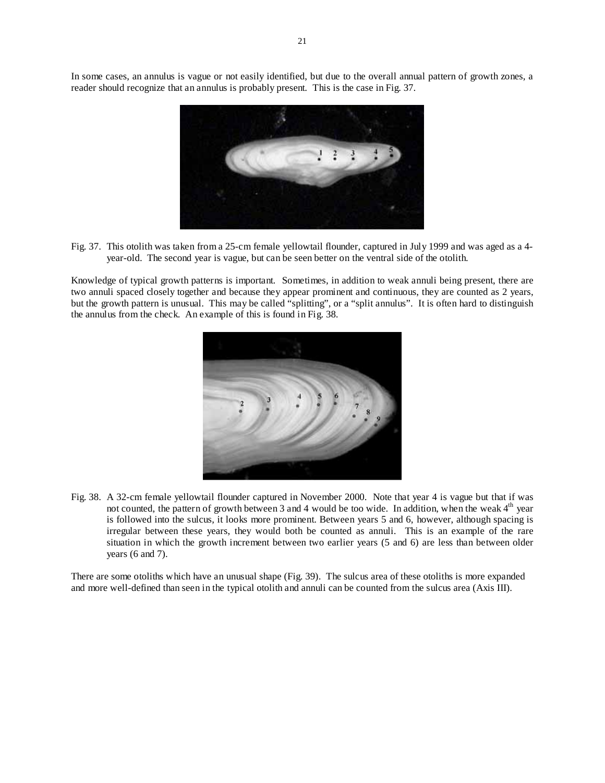In some cases, an annulus is vague or not easily identified, but due to the overall annual pattern of growth zones, a reader should recognize that an annulus is probably present. This is the case in Fig. 37.



Fig. 37. This otolith was taken from a 25-cm female yellowtail flounder, captured in July 1999 and was aged as a 4 year-old. The second year is vague, but can be seen better on the ventral side of the otolith.

Knowledge of typical growth patterns is important. Sometimes, in addition to weak annuli being present, there are two annuli spaced closely together and because they appear prominent and continuous, they are counted as 2 years, but the growth pattern is unusual. This may be called "splitting", or a "split annulus". It is often hard to distinguish the annulus from the check. An example of this is found in Fig. 38.



Fig. 38. A 32-cm female yellowtail flounder captured in November 2000. Note that year 4 is vague but that if was not counted, the pattern of growth between 3 and 4 would be too wide. In addition, when the weak  $4<sup>th</sup>$  year is followed into the sulcus, it looks more prominent. Between years 5 and 6, however, although spacing is irregular between these years, they would both be counted as annuli. This is an example of the rare situation in which the growth increment between two earlier years (5 and 6) are less than between older years (6 and 7).

There are some otoliths which have an unusual shape (Fig. 39). The sulcus area of these otoliths is more expanded and more well-defined than seen in the typical otolith and annuli can be counted from the sulcus area (Axis III).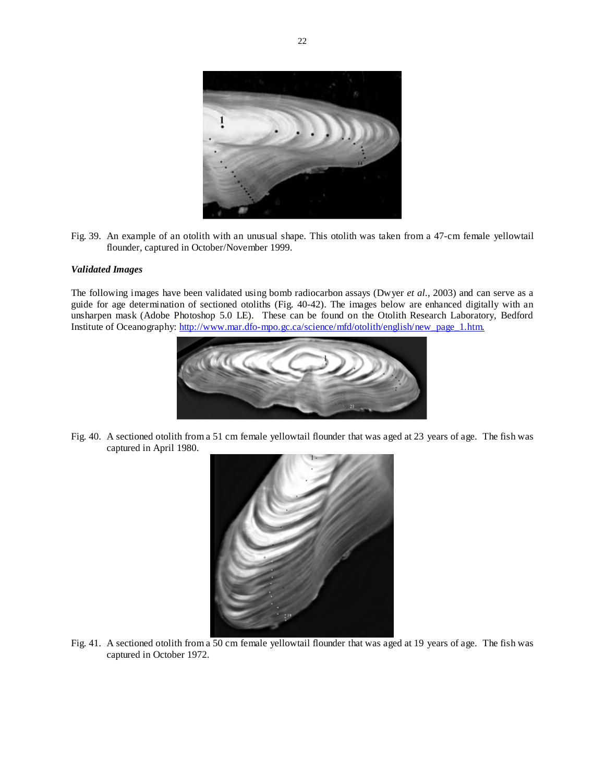

Fig. 39. An example of an otolith with an unusual shape. This otolith was taken from a 47-cm female yellowtail flounder, captured in October/November 1999.

# *Validated Images*

The following images have been validated using bomb radiocarbon assays (Dwyer *et al.*, 2003) and can serve as a guide for age determination of sectioned otoliths (Fig. 40-42). The images below are enhanced digitally with an unsharpen mask (Adobe Photoshop 5.0 LE). These can be found on the Otolith Research Laboratory, Bedford Institute of Oceanography: http://www.mar.dfo-mpo.gc.ca/science/mfd/otolith/english/new\_page\_1.htm.



Fig. 40. A sectioned otolith from a 51 cm female yellowtail flounder that was aged at 23 years of age. The fish was captured in April 1980.



Fig. 41. A sectioned otolith from a 50 cm female yellowtail flounder that was aged at 19 years of age. The fish was captured in October 1972.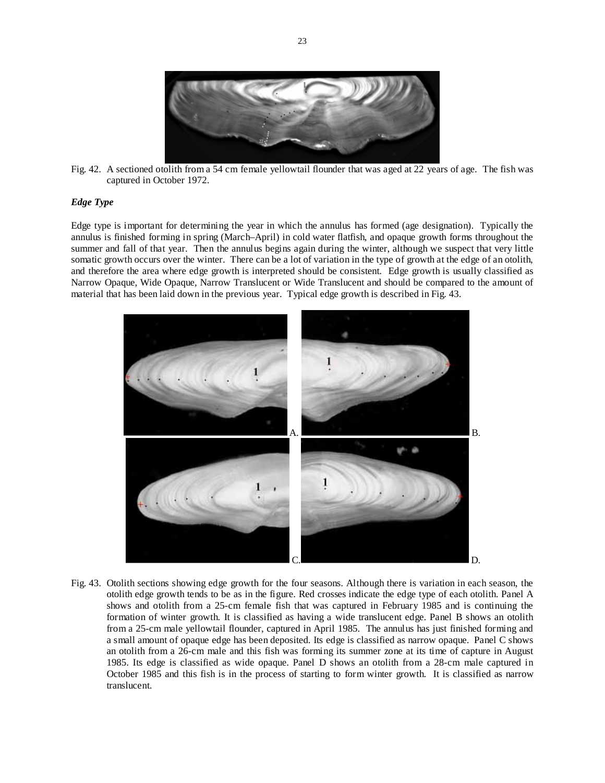

Fig. 42. A sectioned otolith from a 54 cm female yellowtail flounder that was aged at 22 years of age. The fish was captured in October 1972.

# *Edge Type*

Edge type is important for determining the year in which the annulus has formed (age designation). Typically the annulus is finished forming in spring (March–April) in cold water flatfish, and opaque growth forms throughout the summer and fall of that year. Then the annulus begins again during the winter, although we suspect that very little somatic growth occurs over the winter. There can be a lot of variation in the type of growth at the edge of an otolith, and therefore the area where edge growth is interpreted should be consistent. Edge growth is usually classified as Narrow Opaque, Wide Opaque, Narrow Translucent or Wide Translucent and should be compared to the amount of material that has been laid down in the previous year. Typical edge growth is described in Fig. 43.



Fig. 43. Otolith sections showing edge growth for the four seasons. Although there is variation in each season, the otolith edge growth tends to be as in the figure. Red crosses indicate the edge type of each otolith. Panel A shows and otolith from a 25-cm female fish that was captured in February 1985 and is continuing the formation of winter growth. It is classified as having a wide translucent edge. Panel B shows an otolith from a 25-cm male yellowtail flounder, captured in April 1985. The annulus has just finished forming and a small amount of opaque edge has been deposited. Its edge is classified as narrow opaque. Panel C shows an otolith from a 26-cm male and this fish was forming its summer zone at its time of capture in August 1985. Its edge is classified as wide opaque. Panel D shows an otolith from a 28-cm male captured in October 1985 and this fish is in the process of starting to form winter growth. It is classified as narrow translucent.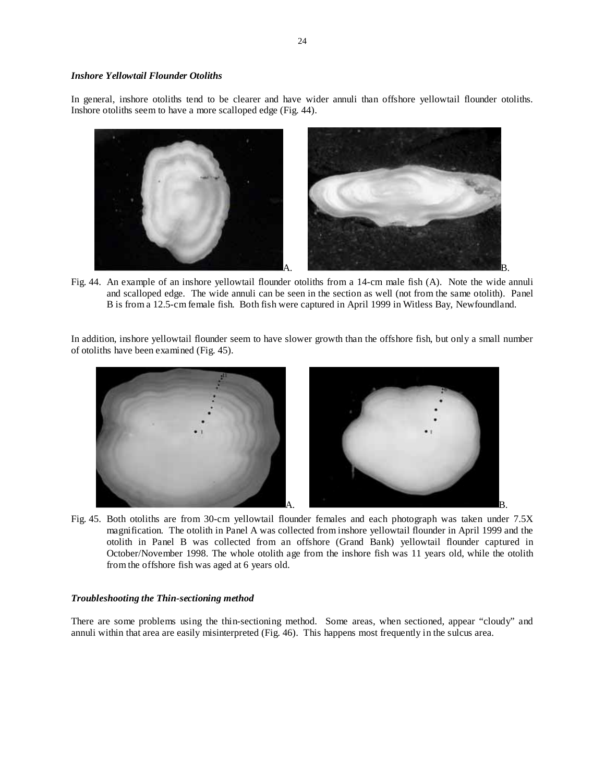# *Inshore Yellowtail Flounder Otoliths*

In general, inshore otoliths tend to be clearer and have wider annuli than offshore yellowtail flounder otoliths. Inshore otoliths seem to have a more scalloped edge (Fig. 44).



Fig. 44. An example of an inshore yellowtail flounder otoliths from a 14-cm male fish (A). Note the wide annuli and scalloped edge. The wide annuli can be seen in the section as well (not from the same otolith). Panel B is from a 12.5-cm female fish. Both fish were captured in April 1999 in Witless Bay, Newfoundland.

In addition, inshore yellowtail flounder seem to have slower growth than the offshore fish, but only a small number of otoliths have been examined (Fig. 45).



Fig. 45. Both otoliths are from 30-cm yellowtail flounder females and each photograph was taken under 7.5X magnification. The otolith in Panel A was collected from inshore yellowtail flounder in April 1999 and the otolith in Panel B was collected from an offshore (Grand Bank) yellowtail flounder captured in October/November 1998. The whole otolith age from the inshore fish was 11 years old, while the otolith from the offshore fish was aged at 6 years old.

### *Troubleshooting the Thin-sectioning method*

There are some problems using the thin-sectioning method. Some areas, when sectioned, appear "cloudy" and annuli within that area are easily misinterpreted (Fig. 46). This happens most frequently in the sulcus area.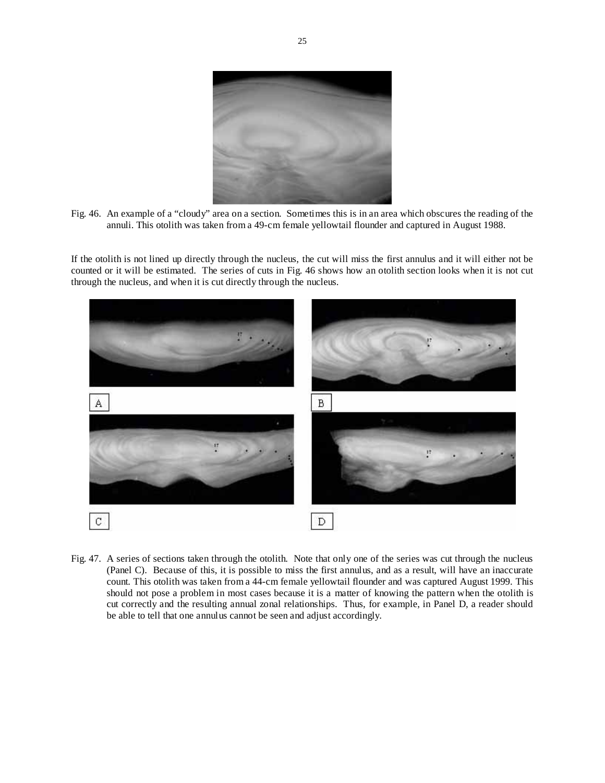

Fig. 46. An example of a "cloudy" area on a section. Sometimes this is in an area which obscures the reading of the annuli. This otolith was taken from a 49-cm female yellowtail flounder and captured in August 1988.

If the otolith is not lined up directly through the nucleus, the cut will miss the first annulus and it will either not be counted or it will be estimated. The series of cuts in Fig. 46 shows how an otolith section looks when it is not cut through the nucleus, and when it is cut directly through the nucleus.



Fig. 47. A series of sections taken through the otolith. Note that only one of the series was cut through the nucleus (Panel C). Because of this, it is possible to miss the first annulus, and as a result, will have an inaccurate count. This otolith was taken from a 44-cm female yellowtail flounder and was captured August 1999. This should not pose a problem in most cases because it is a matter of knowing the pattern when the otolith is cut correctly and the resulting annual zonal relationships. Thus, for example, in Panel D, a reader should be able to tell that one annulus cannot be seen and adjust accordingly.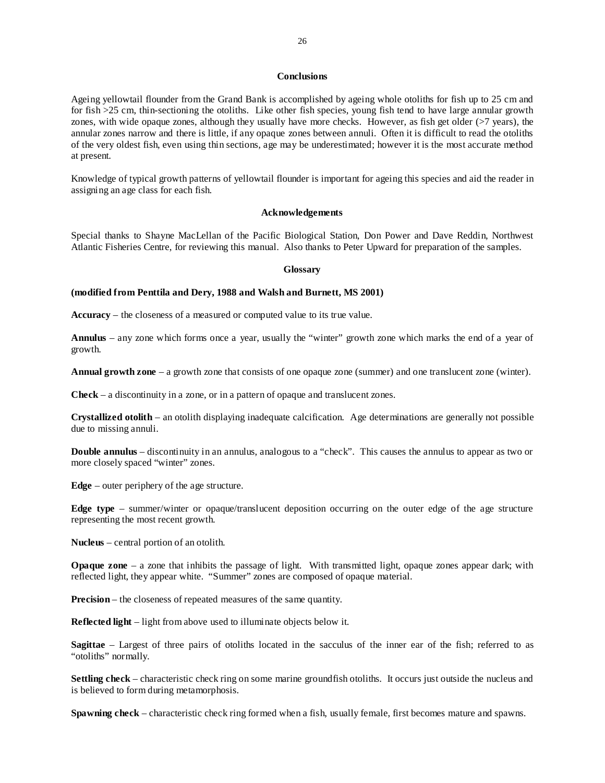# **Conclusions**

Ageing yellowtail flounder from the Grand Bank is accomplished by ageing whole otoliths for fish up to 25 cm and for fish >25 cm, thin-sectioning the otoliths. Like other fish species, young fish tend to have large annular growth zones, with wide opaque zones, although they usually have more checks. However, as fish get older (>7 years), the annular zones narrow and there is little, if any opaque zones between annuli. Often it is difficult to read the otoliths of the very oldest fish, even using thin sections, age may be underestimated; however it is the most accurate method at present.

Knowledge of typical growth patterns of yellowtail flounder is important for ageing this species and aid the reader in assigning an age class for each fish.

### **Acknowledgements**

Special thanks to Shayne MacLellan of the Pacific Biological Station, Don Power and Dave Reddin, Northwest Atlantic Fisheries Centre, for reviewing this manual. Also thanks to Peter Upward for preparation of the samples.

#### **Glossary**

### **(modified from Penttila and Dery, 1988 and Walsh and Burnett, MS 2001)**

**Accuracy** – the closeness of a measured or computed value to its true value.

**Annulus** – any zone which forms once a year, usually the "winter" growth zone which marks the end of a year of growth.

**Annual growth zone** – a growth zone that consists of one opaque zone (summer) and one translucent zone (winter).

**Check** – a discontinuity in a zone, or in a pattern of opaque and translucent zones.

**Crystallized otolith** – an otolith displaying inadequate calcification. Age determinations are generally not possible due to missing annuli.

**Double annulus** – discontinuity in an annulus, analogous to a "check". This causes the annulus to appear as two or more closely spaced "winter" zones.

**Edge** – outer periphery of the age structure.

**Edge type** – summer/winter or opaque/translucent deposition occurring on the outer edge of the age structure representing the most recent growth.

**Nucleus** – central portion of an otolith.

**Opaque zone** – a zone that inhibits the passage of light. With transmitted light, opaque zones appear dark; with reflected light, they appear white. "Summer" zones are composed of opaque material.

**Precision** – the closeness of repeated measures of the same quantity.

**Reflected light** – light from above used to illuminate objects below it.

**Sagittae** – Largest of three pairs of otoliths located in the sacculus of the inner ear of the fish; referred to as "otoliths" normally.

**Settling check** – characteristic check ring on some marine groundfish otoliths. It occurs just outside the nucleus and is believed to form during metamorphosis.

**Spawning check** – characteristic check ring formed when a fish, usually female, first becomes mature and spawns.